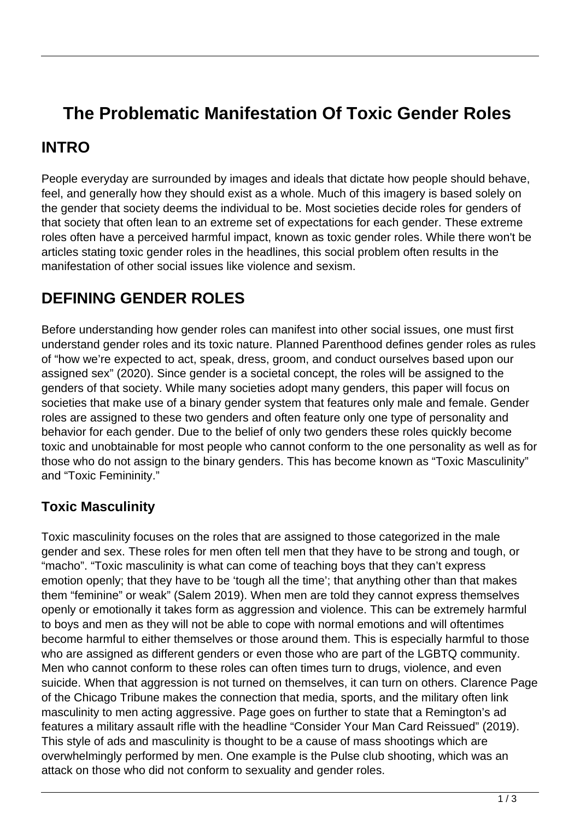# **The Problematic Manifestation Of Toxic Gender Roles**

### **INTRO**

People everyday are surrounded by images and ideals that dictate how people should behave, feel, and generally how they should exist as a whole. Much of this imagery is based solely on the gender that society deems the individual to be. Most societies decide roles for genders of that society that often lean to an extreme set of expectations for each gender. These extreme roles often have a perceived harmful impact, known as toxic gender roles. While there won't be articles stating toxic gender roles in the headlines, this social problem often results in the manifestation of other social issues like violence and sexism.

# **DEFINING GENDER ROLES**

Before understanding how gender roles can manifest into other social issues, one must first understand gender roles and its toxic nature. Planned Parenthood defines gender roles as rules of "how we're expected to act, speak, dress, groom, and conduct ourselves based upon our assigned sex" (2020). Since gender is a societal concept, the roles will be assigned to the genders of that society. While many societies adopt many genders, this paper will focus on societies that make use of a binary gender system that features only male and female. Gender roles are assigned to these two genders and often feature only one type of personality and behavior for each gender. Due to the belief of only two genders these roles quickly become toxic and unobtainable for most people who cannot conform to the one personality as well as for those who do not assign to the binary genders. This has become known as "Toxic Masculinity" and "Toxic Femininity."

#### **Toxic Masculinity**

Toxic masculinity focuses on the roles that are assigned to those categorized in the male gender and sex. These roles for men often tell men that they have to be strong and tough, or "macho". "Toxic masculinity is what can come of teaching boys that they can't express emotion openly; that they have to be 'tough all the time'; that anything other than that makes them "feminine" or weak" (Salem 2019). When men are told they cannot express themselves openly or emotionally it takes form as aggression and violence. This can be extremely harmful to boys and men as they will not be able to cope with normal emotions and will oftentimes become harmful to either themselves or those around them. This is especially harmful to those who are assigned as different genders or even those who are part of the LGBTQ community. Men who cannot conform to these roles can often times turn to drugs, violence, and even suicide. When that aggression is not turned on themselves, it can turn on others. Clarence Page of the Chicago Tribune makes the connection that media, sports, and the military often link masculinity to men acting aggressive. Page goes on further to state that a Remington's ad features a military assault rifle with the headline "Consider Your Man Card Reissued" (2019). This style of ads and masculinity is thought to be a cause of mass shootings which are overwhelmingly performed by men. One example is the Pulse club shooting, which was an attack on those who did not conform to sexuality and gender roles.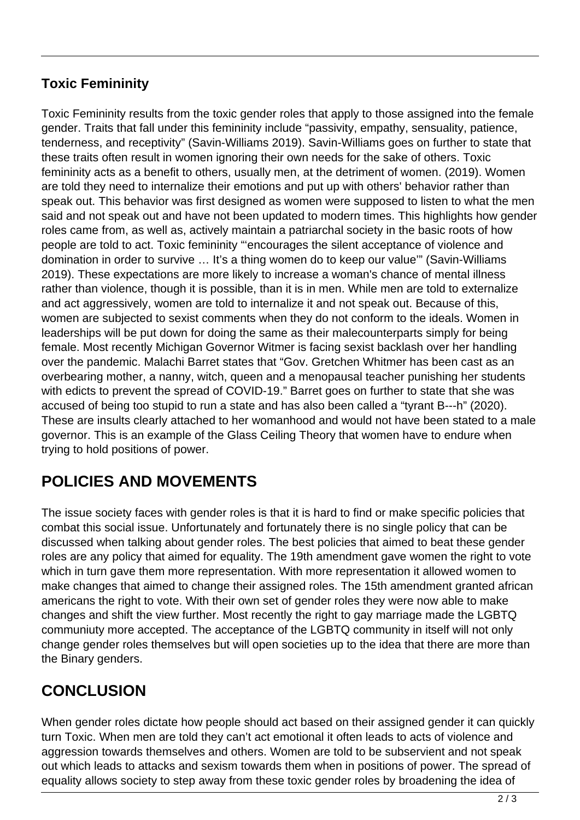#### **Toxic Femininity**

Toxic Femininity results from the toxic gender roles that apply to those assigned into the female gender. Traits that fall under this femininity include "passivity, empathy, sensuality, patience, tenderness, and receptivity" (Savin-Williams 2019). Savin-Williams goes on further to state that these traits often result in women ignoring their own needs for the sake of others. Toxic femininity acts as a benefit to others, usually men, at the detriment of women. (2019). Women are told they need to internalize their emotions and put up with others' behavior rather than speak out. This behavior was first designed as women were supposed to listen to what the men said and not speak out and have not been updated to modern times. This highlights how gender roles came from, as well as, actively maintain a patriarchal society in the basic roots of how people are told to act. Toxic femininity "'encourages the silent acceptance of violence and domination in order to survive … It's a thing women do to keep our value'" (Savin-Williams 2019). These expectations are more likely to increase a woman's chance of mental illness rather than violence, though it is possible, than it is in men. While men are told to externalize and act aggressively, women are told to internalize it and not speak out. Because of this, women are subjected to sexist comments when they do not conform to the ideals. Women in leaderships will be put down for doing the same as their malecounterparts simply for being female. Most recently Michigan Governor Witmer is facing sexist backlash over her handling over the pandemic. Malachi Barret states that "Gov. Gretchen Whitmer has been cast as an overbearing mother, a nanny, witch, queen and a menopausal teacher punishing her students with edicts to prevent the spread of COVID-19." Barret goes on further to state that she was accused of being too stupid to run a state and has also been called a "tyrant B---h" (2020). These are insults clearly attached to her womanhood and would not have been stated to a male governor. This is an example of the Glass Ceiling Theory that women have to endure when trying to hold positions of power.

## **POLICIES AND MOVEMENTS**

The issue society faces with gender roles is that it is hard to find or make specific policies that combat this social issue. Unfortunately and fortunately there is no single policy that can be discussed when talking about gender roles. The best policies that aimed to beat these gender roles are any policy that aimed for equality. The 19th amendment gave women the right to vote which in turn gave them more representation. With more representation it allowed women to make changes that aimed to change their assigned roles. The 15th amendment granted african americans the right to vote. With their own set of gender roles they were now able to make changes and shift the view further. Most recently the right to gay marriage made the LGBTQ communiuty more accepted. The acceptance of the LGBTQ community in itself will not only change gender roles themselves but will open societies up to the idea that there are more than the Binary genders.

### **CONCLUSION**

When gender roles dictate how people should act based on their assigned gender it can quickly turn Toxic. When men are told they can't act emotional it often leads to acts of violence and aggression towards themselves and others. Women are told to be subservient and not speak out which leads to attacks and sexism towards them when in positions of power. The spread of equality allows society to step away from these toxic gender roles by broadening the idea of